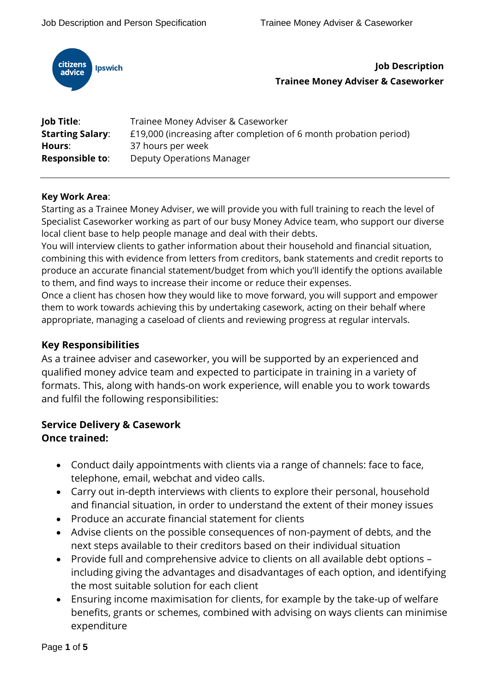

**Job Description Trainee Money Adviser & Caseworker**

| Job Title:              | Trainee Money Adviser & Caseworker                                |
|-------------------------|-------------------------------------------------------------------|
| <b>Starting Salary:</b> | £19,000 (increasing after completion of 6 month probation period) |
| Hours:                  | 37 hours per week                                                 |
| <b>Responsible to:</b>  | Deputy Operations Manager                                         |

#### **Key Work Area**:

Starting as a Trainee Money Adviser, we will provide you with full training to reach the level of Specialist Caseworker working as part of our busy Money Advice team, who support our diverse local client base to help people manage and deal with their debts.

You will interview clients to gather information about their household and financial situation, combining this with evidence from letters from creditors, bank statements and credit reports to produce an accurate financial statement/budget from which you'll identify the options available to them, and find ways to increase their income or reduce their expenses.

Once a client has chosen how they would like to move forward, you will support and empower them to work towards achieving this by undertaking casework, acting on their behalf where appropriate, managing a caseload of clients and reviewing progress at regular intervals.

## **Key Responsibilities**

As a trainee adviser and caseworker, you will be supported by an experienced and qualified money advice team and expected to participate in training in a variety of formats. This, along with hands-on work experience, will enable you to work towards and fulfil the following responsibilities:

# **Service Delivery & Casework**

## **Once trained:**

- Conduct daily appointments with clients via a range of channels: face to face, telephone, email, webchat and video calls.
- Carry out in-depth interviews with clients to explore their personal, household and financial situation, in order to understand the extent of their money issues
- Produce an accurate financial statement for clients
- Advise clients on the possible consequences of non-payment of debts, and the next steps available to their creditors based on their individual situation
- Provide full and comprehensive advice to clients on all available debt options including giving the advantages and disadvantages of each option, and identifying the most suitable solution for each client
- Ensuring income maximisation for clients, for example by the take-up of welfare benefits, grants or schemes, combined with advising on ways clients can minimise expenditure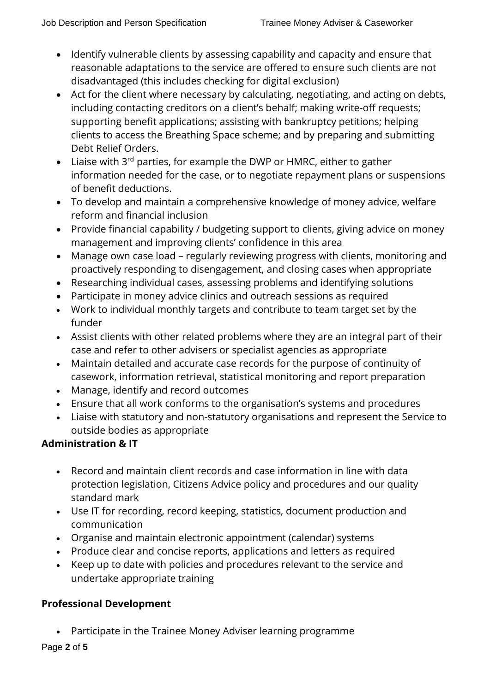- Identify vulnerable clients by assessing capability and capacity and ensure that reasonable adaptations to the service are offered to ensure such clients are not disadvantaged (this includes checking for digital exclusion)
- Act for the client where necessary by calculating, negotiating, and acting on debts, including contacting creditors on a client's behalf; making write-off requests; supporting benefit applications; assisting with bankruptcy petitions; helping clients to access the Breathing Space scheme; and by preparing and submitting Debt Relief Orders.
- Liaise with  $3^{rd}$  parties, for example the DWP or HMRC, either to gather information needed for the case, or to negotiate repayment plans or suspensions of benefit deductions.
- To develop and maintain a comprehensive knowledge of money advice, welfare reform and financial inclusion
- Provide financial capability / budgeting support to clients, giving advice on money management and improving clients' confidence in this area
- Manage own case load regularly reviewing progress with clients, monitoring and proactively responding to disengagement, and closing cases when appropriate
- Researching individual cases, assessing problems and identifying solutions
- Participate in money advice clinics and outreach sessions as required
- Work to individual monthly targets and contribute to team target set by the funder
- Assist clients with other related problems where they are an integral part of their case and refer to other advisers or specialist agencies as appropriate
- Maintain detailed and accurate case records for the purpose of continuity of casework, information retrieval, statistical monitoring and report preparation
- Manage, identify and record outcomes
- Ensure that all work conforms to the organisation's systems and procedures
- Liaise with statutory and non-statutory organisations and represent the Service to outside bodies as appropriate

## **Administration & IT**

- Record and maintain client records and case information in line with data protection legislation, Citizens Advice policy and procedures and our quality standard mark
- Use IT for recording, record keeping, statistics, document production and communication
- Organise and maintain electronic appointment (calendar) systems
- Produce clear and concise reports, applications and letters as required
- Keep up to date with policies and procedures relevant to the service and undertake appropriate training

## **Professional Development**

• Participate in the Trainee Money Adviser learning programme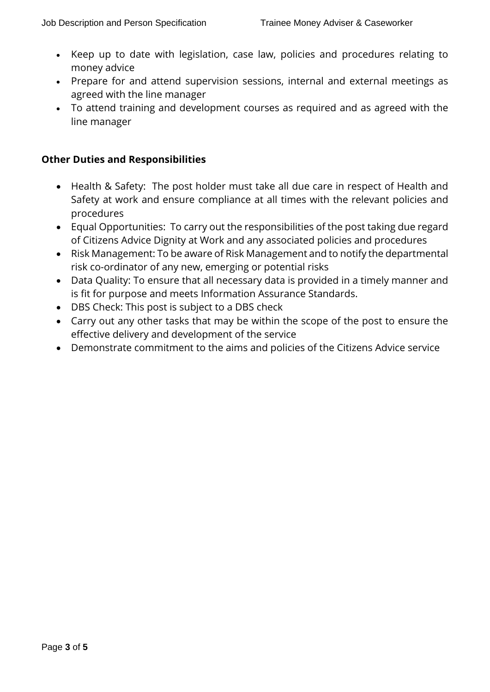- Keep up to date with legislation, case law, policies and procedures relating to money advice
- Prepare for and attend supervision sessions, internal and external meetings as agreed with the line manager
- To attend training and development courses as required and as agreed with the line manager

## **Other Duties and Responsibilities**

- Health & Safety: The post holder must take all due care in respect of Health and Safety at work and ensure compliance at all times with the relevant policies and procedures
- Equal Opportunities: To carry out the responsibilities of the post taking due regard of Citizens Advice Dignity at Work and any associated policies and procedures
- Risk Management: To be aware of Risk Management and to notify the departmental risk co-ordinator of any new, emerging or potential risks
- Data Quality: To ensure that all necessary data is provided in a timely manner and is fit for purpose and meets Information Assurance Standards.
- DBS Check: This post is subject to a DBS check
- Carry out any other tasks that may be within the scope of the post to ensure the effective delivery and development of the service
- Demonstrate commitment to the aims and policies of the Citizens Advice service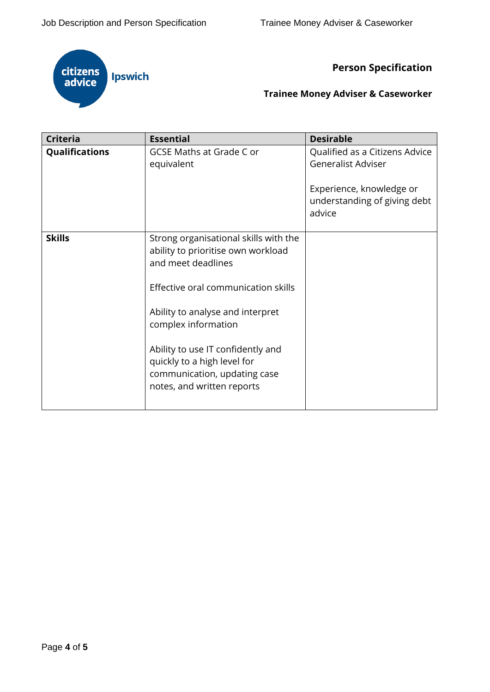

**Person Specification** 

# **Trainee Money Adviser & Caseworker**

| <b>Criteria</b>       | <b>Essential</b>                                                                                                               | <b>Desirable</b>                                                   |
|-----------------------|--------------------------------------------------------------------------------------------------------------------------------|--------------------------------------------------------------------|
| <b>Qualifications</b> | <b>GCSE Maths at Grade C or</b><br>equivalent                                                                                  | Qualified as a Citizens Advice<br><b>Generalist Adviser</b>        |
|                       |                                                                                                                                | Experience, knowledge or<br>understanding of giving debt<br>advice |
| <b>Skills</b>         | Strong organisational skills with the<br>ability to prioritise own workload<br>and meet deadlines                              |                                                                    |
|                       | Effective oral communication skills                                                                                            |                                                                    |
|                       | Ability to analyse and interpret<br>complex information                                                                        |                                                                    |
|                       | Ability to use IT confidently and<br>quickly to a high level for<br>communication, updating case<br>notes, and written reports |                                                                    |